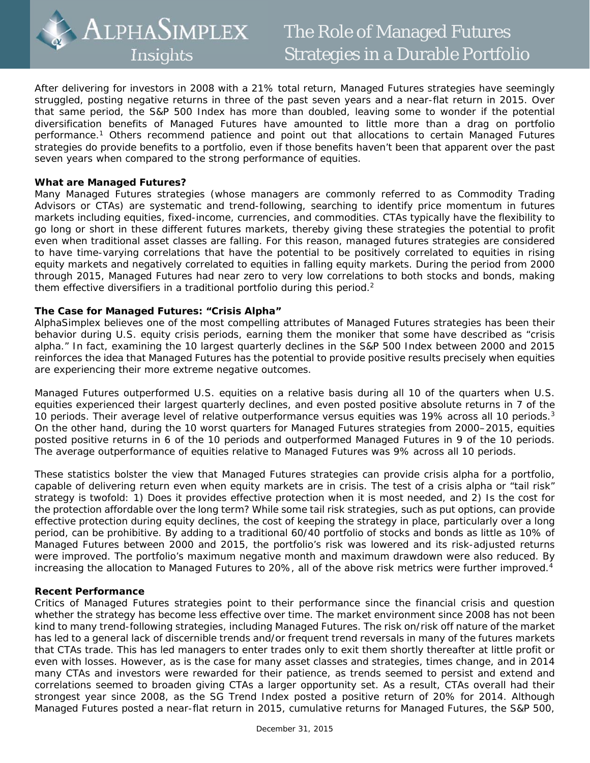

After delivering for investors in 2008 with a 21% total return, Managed Futures strategies have seemingly struggled, posting negative returns in three of the past seven years and a near-flat return in 2015. Over that same period, the S&P 500 Index has more than doubled, leaving some to wonder if the potential diversification benefits of Managed Futures have amounted to little more than a drag on portfolio performance.1 Others recommend patience and point out that allocations to certain Managed Futures strategies do provide benefits to a portfolio, even if those benefits haven't been that apparent over the past seven years when compared to the strong performance of equities.

## **What are Managed Futures?**

Many Managed Futures strategies (whose managers are commonly referred to as Commodity Trading Advisors or CTAs) are systematic and trend-following, searching to identify price momentum in futures markets including equities, fixed-income, currencies, and commodities. CTAs typically have the flexibility to go long or short in these different futures markets, thereby giving these strategies the potential to profit even when traditional asset classes are falling. For this reason, managed futures strategies are considered to have time-varying correlations that have the potential to be positively correlated to equities in rising equity markets and negatively correlated to equities in falling equity markets. During the period from 2000 through 2015, Managed Futures had near zero to very low correlations to both stocks and bonds, making them effective diversifiers in a traditional portfolio during this period.<sup>2</sup>

# **The Case for Managed Futures: "Crisis Alpha"**

AlphaSimplex believes one of the most compelling attributes of Managed Futures strategies has been their behavior during U.S. equity crisis periods, earning them the moniker that some have described as "crisis alpha." In fact, examining the 10 largest quarterly declines in the S&P 500 Index between 2000 and 2015 reinforces the idea that Managed Futures has the potential to provide positive results precisely when equities are experiencing their more extreme negative outcomes.

Managed Futures outperformed U.S. equities on a relative basis during all 10 of the quarters when U.S. equities experienced their largest quarterly declines, and even posted positive absolute returns in 7 of the 10 periods. Their average level of relative outperformance versus equities was 19% across all 10 periods. $3$ On the other hand, during the 10 worst quarters for Managed Futures strategies from 2000–2015, equities posted positive returns in 6 of the 10 periods and outperformed Managed Futures in 9 of the 10 periods. The average outperformance of equities relative to Managed Futures was 9% across all 10 periods.

These statistics bolster the view that Managed Futures strategies can provide crisis alpha for a portfolio, capable of delivering return even when equity markets are in crisis. The test of a crisis alpha or "tail risk" strategy is twofold: 1) Does it provides effective protection when it is most needed, and 2) Is the cost for the protection affordable over the long term? While some tail risk strategies, such as put options, can provide effective protection during equity declines, the cost of keeping the strategy in place, particularly over a long period, can be prohibitive. By adding to a traditional 60/40 portfolio of stocks and bonds as little as 10% of Managed Futures between 2000 and 2015, the portfolio's risk was lowered and its risk-adjusted returns were improved. The portfolio's maximum negative month and maximum drawdown were also reduced. By increasing the allocation to Managed Futures to 20%, all of the above risk metrics were further improved.<sup>4</sup>

### **Recent Performance**

Critics of Managed Futures strategies point to their performance since the financial crisis and question whether the strategy has become less effective over time. The market environment since 2008 has not been kind to many trend-following strategies, including Managed Futures. The risk on/risk off nature of the market has led to a general lack of discernible trends and/or frequent trend reversals in many of the futures markets that CTAs trade. This has led managers to enter trades only to exit them shortly thereafter at little profit or even with losses. However, as is the case for many asset classes and strategies, times change, and in 2014 many CTAs and investors were rewarded for their patience, as trends seemed to persist and extend and correlations seemed to broaden giving CTAs a larger opportunity set. As a result, CTAs overall had their strongest year since 2008, as the SG Trend Index posted a positive return of 20% for 2014. Although Managed Futures posted a near-flat return in 2015, cumulative returns for Managed Futures, the S&P 500,